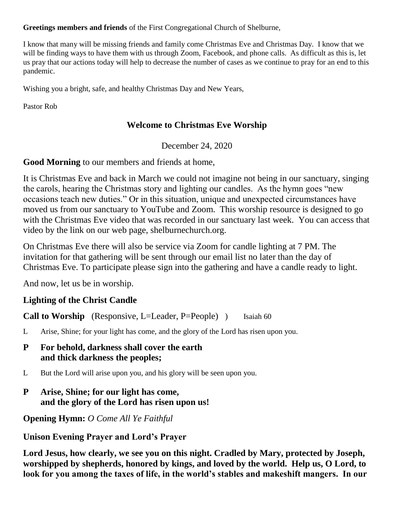**Greetings members and friends** of the First Congregational Church of Shelburne,

I know that many will be missing friends and family come Christmas Eve and Christmas Day. I know that we will be finding ways to have them with us through Zoom, Facebook, and phone calls. As difficult as this is, let us pray that our actions today will help to decrease the number of cases as we continue to pray for an end to this pandemic.

Wishing you a bright, safe, and healthy Christmas Day and New Years,

Pastor Rob

# **Welcome to Christmas Eve Worship**

December 24, 2020

**Good Morning** to our members and friends at home,

It is Christmas Eve and back in March we could not imagine not being in our sanctuary, singing the carols, hearing the Christmas story and lighting our candles. As the hymn goes "new occasions teach new duties." Or in this situation, unique and unexpected circumstances have moved us from our sanctuary to YouTube and Zoom. This worship resource is designed to go with the Christmas Eve video that was recorded in our sanctuary last week. You can access that video by the link on our web page, shelburnechurch.org.

On Christmas Eve there will also be service via Zoom for candle lighting at 7 PM. The invitation for that gathering will be sent through our email list no later than the day of Christmas Eve. To participate please sign into the gathering and have a candle ready to light.

And now, let us be in worship.

## **Lighting of the Christ Candle**

**Call to Worship** (Responsive, L=Leader, P=People) ) Isaiah 60

- L Arise, Shine; for your light has come, and the glory of the Lord has risen upon you.
- **P For behold, darkness shall cover the earth and thick darkness the peoples;**
- L But the Lord will arise upon you, and his glory will be seen upon you.

## **P Arise, Shine; for our light has come, and the glory of the Lord has risen upon us!**

**Opening Hymn:** *O Come All Ye Faithful*

**Unison Evening Prayer and Lord's Prayer**

**Lord Jesus, how clearly, we see you on this night. Cradled by Mary, protected by Joseph, worshipped by shepherds, honored by kings, and loved by the world. Help us, O Lord, to look for you among the taxes of life, in the world's stables and makeshift mangers. In our**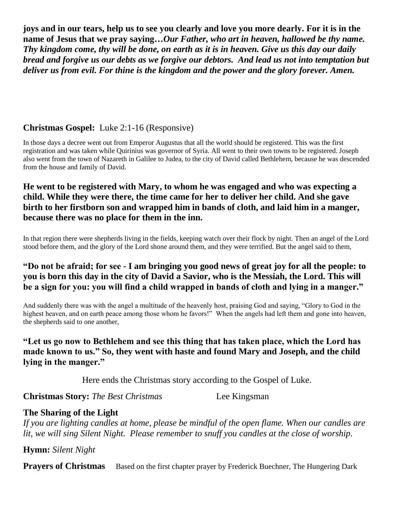**joys and in our tears, help us to see you clearly and love you more dearly. For it is in the name of Jesus that we pray saying…***Our Father, who art in heaven, hallowed be thy name. Thy kingdom come, thy will be done, on earth as it is in heaven. Give us this day our daily bread and forgive us our debts as we forgive our debtors. And lead us not into temptation but deliver us from evil. For thine is the kingdom and the power and the glory forever. Amen.*

#### **Christmas Gospel:** Luke 2:1-16 (Responsive)

In those days a decree went out from Emperor Augustus that all the world should be registered. This was the first registration and was taken while Quirinius was governor of Syria. All went to their own towns to be registered. Joseph also went from the town of Nazareth in Galilee to Judea, to the city of David called Bethlehem, because he was descended from the house and family of David.

#### **He went to be registered with Mary, to whom he was engaged and who was expecting a child. While they were there, the time came for her to deliver her child. And she gave birth to her firstborn son and wrapped him in bands of cloth, and laid him in a manger, because there was no place for them in the inn.**

In that region there were shepherds living in the fields, keeping watch over their flock by night. Then an angel of the Lord stood before them, and the glory of the Lord shone around them, and they were terrified. But the angel said to them,

#### **"Do not be afraid; for see - I am bringing you good news of great joy for all the people: to you is born this day in the city of David a Savior, who is the Messiah, the Lord. This will be a sign for you: you will find a child wrapped in bands of cloth and lying in a manger."**

And suddenly there was with the angel a multitude of the heavenly host, praising God and saying, "Glory to God in the highest heaven, and on earth peace among those whom he favors!" When the angels had left them and gone into heaven, the shepherds said to one another,

#### **"Let us go now to Bethlehem and see this thing that has taken place, which the Lord has made known to us." So, they went with haste and found Mary and Joseph, and the child lying in the manger."**

Here ends the Christmas story according to the Gospel of Luke.

**Christmas Story:** *The Best Christmas* Lee Kingsman

### **The Sharing of the Light**

*If you are lighting candles at home, please be mindful of the open flame. When our candles are lit, we will sing Silent Night. Please remember to snuff you candles at the close of worship.*

**Hymn:** *Silent Night* 

**Prayers of Christmas** Based on the first chapter prayer by Frederick Buechner, The Hungering Dark